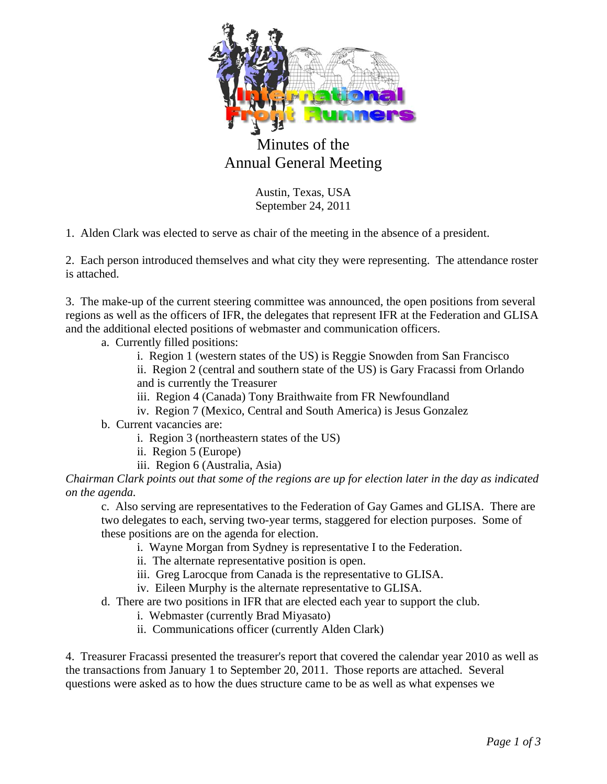

## Minutes of the Annual General Meeting

Austin, Texas, USA September 24, 2011

1. Alden Clark was elected to serve as chair of the meeting in the absence of a president.

2. Each person introduced themselves and what city they were representing. The attendance roster is attached.

3. The make-up of the current steering committee was announced, the open positions from several regions as well as the officers of IFR, the delegates that represent IFR at the Federation and GLISA and the additional elected positions of webmaster and communication officers.

a. Currently filled positions:

i. Region 1 (western states of the US) is Reggie Snowden from San Francisco

ii. Region 2 (central and southern state of the US) is Gary Fracassi from Orlando and is currently the Treasurer

iii. Region 4 (Canada) Tony Braithwaite from FR Newfoundland

iv. Region 7 (Mexico, Central and South America) is Jesus Gonzalez

b. Current vacancies are:

- i. Region 3 (northeastern states of the US)
- ii. Region 5 (Europe)
- iii. Region 6 (Australia, Asia)

*Chairman Clark points out that some of the regions are up for election later in the day as indicated on the agenda.* 

c. Also serving are representatives to the Federation of Gay Games and GLISA. There are two delegates to each, serving two-year terms, staggered for election purposes. Some of these positions are on the agenda for election.

- i. Wayne Morgan from Sydney is representative I to the Federation.
- ii. The alternate representative position is open.
- iii. Greg Larocque from Canada is the representative to GLISA.
- iv. Eileen Murphy is the alternate representative to GLISA.

d. There are two positions in IFR that are elected each year to support the club.

- i. Webmaster (currently Brad Miyasato)
- ii. Communications officer (currently Alden Clark)

4. Treasurer Fracassi presented the treasurer's report that covered the calendar year 2010 as well as the transactions from January 1 to September 20, 2011. Those reports are attached. Several questions were asked as to how the dues structure came to be as well as what expenses we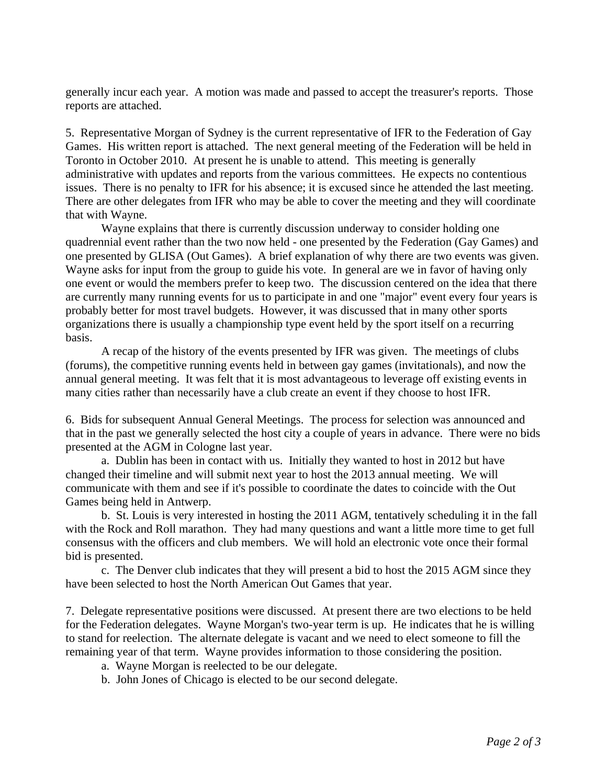generally incur each year. A motion was made and passed to accept the treasurer's reports. Those reports are attached.

5. Representative Morgan of Sydney is the current representative of IFR to the Federation of Gay Games. His written report is attached. The next general meeting of the Federation will be held in Toronto in October 2010. At present he is unable to attend. This meeting is generally administrative with updates and reports from the various committees. He expects no contentious issues. There is no penalty to IFR for his absence; it is excused since he attended the last meeting. There are other delegates from IFR who may be able to cover the meeting and they will coordinate that with Wayne.

 Wayne explains that there is currently discussion underway to consider holding one quadrennial event rather than the two now held - one presented by the Federation (Gay Games) and one presented by GLISA (Out Games). A brief explanation of why there are two events was given. Wayne asks for input from the group to guide his vote. In general are we in favor of having only one event or would the members prefer to keep two. The discussion centered on the idea that there are currently many running events for us to participate in and one "major" event every four years is probably better for most travel budgets. However, it was discussed that in many other sports organizations there is usually a championship type event held by the sport itself on a recurring basis.

 A recap of the history of the events presented by IFR was given. The meetings of clubs (forums), the competitive running events held in between gay games (invitationals), and now the annual general meeting. It was felt that it is most advantageous to leverage off existing events in many cities rather than necessarily have a club create an event if they choose to host IFR.

6. Bids for subsequent Annual General Meetings. The process for selection was announced and that in the past we generally selected the host city a couple of years in advance. There were no bids presented at the AGM in Cologne last year.

 a. Dublin has been in contact with us. Initially they wanted to host in 2012 but have changed their timeline and will submit next year to host the 2013 annual meeting. We will communicate with them and see if it's possible to coordinate the dates to coincide with the Out Games being held in Antwerp.

 b. St. Louis is very interested in hosting the 2011 AGM, tentatively scheduling it in the fall with the Rock and Roll marathon. They had many questions and want a little more time to get full consensus with the officers and club members. We will hold an electronic vote once their formal bid is presented.

 c. The Denver club indicates that they will present a bid to host the 2015 AGM since they have been selected to host the North American Out Games that year.

7. Delegate representative positions were discussed. At present there are two elections to be held for the Federation delegates. Wayne Morgan's two-year term is up. He indicates that he is willing to stand for reelection. The alternate delegate is vacant and we need to elect someone to fill the remaining year of that term. Wayne provides information to those considering the position.

- a. Wayne Morgan is reelected to be our delegate.
- b. John Jones of Chicago is elected to be our second delegate.